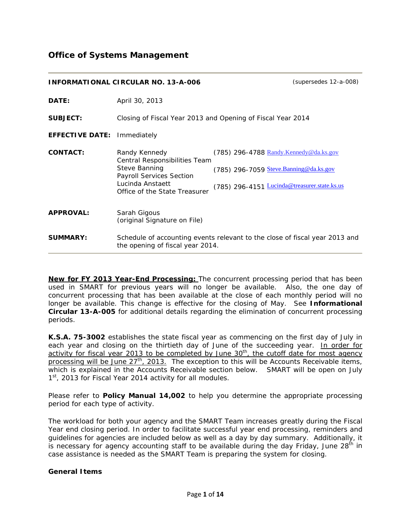# **Office of Systems Management**

|                        | $(supersedes 12-a-008)$<br><b>INFORMATIONAL CIRCULAR NO. 13-A-006</b>                                                                                          |                                                                                                                                        |  |
|------------------------|----------------------------------------------------------------------------------------------------------------------------------------------------------------|----------------------------------------------------------------------------------------------------------------------------------------|--|
| DATE:                  | April 30, 2013                                                                                                                                                 |                                                                                                                                        |  |
| <b>SUBJECT:</b>        | Closing of Fiscal Year 2013 and Opening of Fiscal Year 2014                                                                                                    |                                                                                                                                        |  |
| <b>EFFECTIVE DATE:</b> | Immediately                                                                                                                                                    |                                                                                                                                        |  |
| <b>CONTACT:</b>        | Randy Kennedy<br>Central Responsibilities Team<br><b>Steve Banning</b><br><b>Payroll Services Section</b><br>Lucinda Anstaett<br>Office of the State Treasurer | $(785)$ 296-4788 Randy.Kennedy@da.ks.gov<br>$(785)$ 296-7059 Steve. Banning @da.ks.gov<br>(785) 296-4151 Lucinda@treasurer.state.ks.us |  |
| <b>APPROVAL:</b>       | Sarah Gigous<br>(original Signature on File)                                                                                                                   |                                                                                                                                        |  |
| <b>SUMMARY:</b>        | Schedule of accounting events relevant to the close of fiscal year 2013 and<br>the opening of fiscal year 2014.                                                |                                                                                                                                        |  |

**New for FY 2013 Year-End Processing:** The concurrent processing period that has been used in SMART for previous years will no longer be available. Also, the one day of concurrent processing that has been available at the close of each monthly period will no longer be available. This change is effective for the closing of May. See **Informational Circular 13-A-005** for additional details regarding the elimination of concurrent processing periods.

**K.S.A. 75-3002** establishes the state fiscal year as commencing on the first day of July in each year and closing on the thirtieth day of June of the succeeding year. In order for activity for fiscal year 2013 to be completed by June 30<sup>th</sup>, the cutoff date for most agency processing will be June 27<sup>th</sup>, 2013. The exception to this will be Accounts Receivable items, which is explained in the Accounts Receivable section below. SMART will be open on July 1<sup>st</sup>, 2013 for Fiscal Year 2014 activity for all modules.

Please refer to **Policy Manual 14,002** to help you determine the appropriate processing period for each type of activity.

The workload for both your agency and the SMART Team increases greatly during the Fiscal Year end closing period. In order to facilitate successful year end processing, reminders and guidelines for agencies are included below as well as a day by day summary. Additionally, it is necessary for agency accounting staff to be available during the day Friday, June  $28<sup>th</sup>$  in case assistance is needed as the SMART Team is preparing the system for closing.

#### **General Items**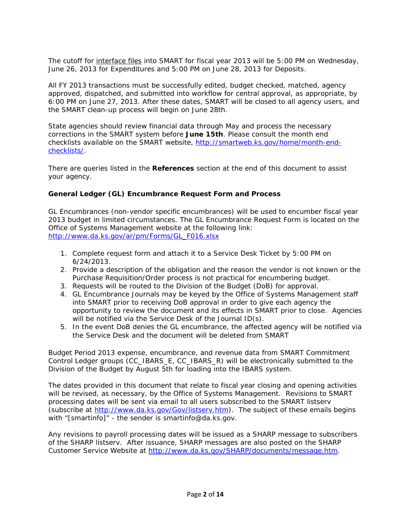The cutoff for interface files into SMART for fiscal year 2013 will be 5:00 PM on Wednesday, June 26, 2013 for Expenditures and 5:00 PM on June 28, 2013 for Deposits.

All FY 2013 transactions must be successfully edited, budget checked, matched, agency approved, dispatched, and submitted into workflow for central approval, as appropriate, by 6:00 PM on June 27, 2013. After these dates, SMART will be closed to all agency users, and the SMART clean-up process will begin on June 28th.

State agencies should review financial data through May and process the necessary corrections in the SMART system before **June 15th**. Please consult the month end checklists available on the SMART website, [http://smartweb.ks.gov/home/month-end](http://smartweb.ks.gov/home/month-end-checklists/)[checklists/](http://smartweb.ks.gov/home/month-end-checklists/).

There are queries listed in the **References** section at the end of this document to assist your agency.

### **General Ledger (GL) Encumbrance Request Form and Process**

GL Encumbrances (non-vendor specific encumbrances) will be used to encumber fiscal year 2013 budget in limited circumstances. The GL Encumbrance Request Form is located on the Office of Systems Management website at the following link: [http://www.da.ks.gov/ar/pm/Forms/GL\\_F016.xlsx](http://www.da.ks.gov/ar/pm/Forms/GL_F016.xlsx) 

- 1. Complete request form and attach it to a Service Desk Ticket by 5:00 PM on 6/24/2013.
- 2. Provide a description of the obligation and the reason the vendor is not known or the Purchase Requisition/Order process is not practical for encumbering budget.
- 3. Requests will be routed to the Division of the Budget (DoB) for approval.
- 4. GL Encumbrance Journals may be keyed by the Office of Systems Management staff into SMART prior to receiving DoB approval in order to give each agency the opportunity to review the document and its effects in SMART prior to close. Agencies will be notified via the Service Desk of the Journal ID(s).
- 5. In the event DoB denies the GL encumbrance, the affected agency will be notified via the Service Desk and the document will be deleted from SMART

Budget Period 2013 expense, encumbrance, and revenue data from SMART Commitment Control Ledger groups (CC\_IBARS\_E, CC\_IBARS\_R) will be electronically submitted to the Division of the Budget by August 5th for loading into the IBARS system.

The dates provided in this document that relate to fiscal year closing and opening activities will be revised, as necessary, by the Office of Systems Management. Revisions to SMART processing dates will be sent via email to all users subscribed to the SMART listserv (subscribe at <http://www.da.ks.gov/Gov/listserv.htm>). The subject of these emails begins with "[smartinfo]" - the sender is smartinfo@da.ks.gov.

Any revisions to payroll processing dates will be issued as a SHARP message to subscribers of the SHARP listserv. After issuance, SHARP messages are also posted on the SHARP Customer Service Website at<http://www.da.ks.gov/SHARP/documents/message.htm>.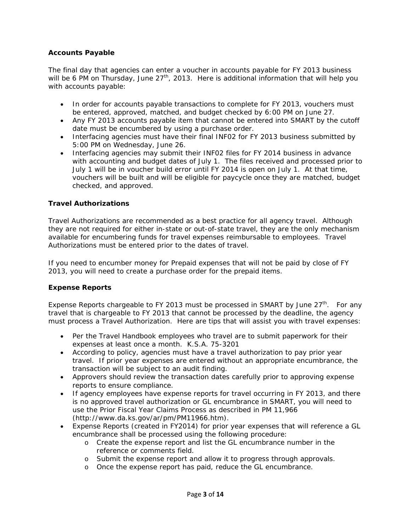### **Accounts Payable**

The final day that agencies can enter a voucher in accounts payable for FY 2013 business will be 6 PM on Thursday, June  $27<sup>th</sup>$ , 2013. Here is additional information that will help you with accounts payable:

- In order for accounts payable transactions to complete for FY 2013, vouchers must be entered, approved, matched, and budget checked by 6:00 PM on June 27.
- Any FY 2013 accounts payable item that cannot be entered into SMART by the cutoff date must be encumbered by using a purchase order.
- Interfacing agencies must have their final INF02 for FY 2013 business submitted by 5:00 PM on Wednesday, June 26.
- Interfacing agencies may submit their INF02 files for FY 2014 business in advance with accounting and budget dates of July 1. The files received and processed prior to July 1 will be in voucher build error until FY 2014 is open on July 1. At that time, vouchers will be built and will be eligible for paycycle once they are matched, budget checked, and approved.

### **Travel Authorizations**

Travel Authorizations are recommended as a best practice for all agency travel. Although they are not required for either in-state or out-of-state travel, they are the only mechanism available for encumbering funds for travel expenses reimbursable to employees. Travel Authorizations must be entered prior to the dates of travel.

If you need to encumber money for Prepaid expenses that will not be paid by close of FY 2013, you will need to create a purchase order for the prepaid items.

#### **Expense Reports**

Expense Reports chargeable to FY 2013 must be processed in SMART by June  $27<sup>th</sup>$ . For any travel that is chargeable to FY 2013 that cannot be processed by the deadline, the agency must process a Travel Authorization. Here are tips that will assist you with travel expenses:

- Per the Travel Handbook employees who travel are to submit paperwork for their expenses at least once a month. K.S.A. 75-3201
- According to policy, agencies must have a travel authorization to pay prior year travel. If prior year expenses are entered without an appropriate encumbrance, the transaction will be subject to an audit finding.
- Approvers should review the transaction dates carefully prior to approving expense reports to ensure compliance.
- If agency employees have expense reports for travel occurring in FY 2013, and there is no approved travel authorization or GL encumbrance in SMART, you will need to use the Prior Fiscal Year Claims Process as described in PM 11,966 (<http://www.da.ks.gov/ar/pm/PM11966.htm>).
- Expense Reports (created in FY2014) for prior year expenses that will reference a GL encumbrance shall be processed using the following procedure:
	- o Create the expense report and list the GL encumbrance number in the reference or comments field.
	- o Submit the expense report and allow it to progress through approvals.
	- o Once the expense report has paid, reduce the GL encumbrance.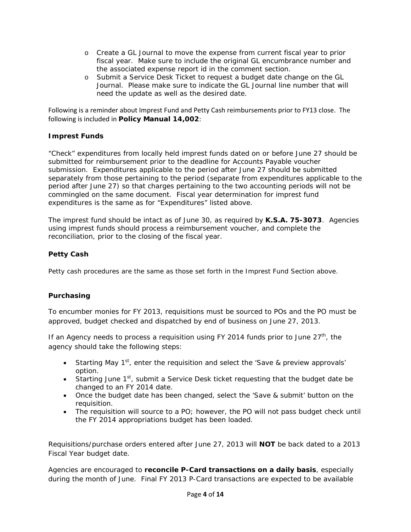- o Create a GL Journal to move the expense from current fiscal year to prior fiscal year. Make sure to include the original GL encumbrance number and the associated expense report id in the comment section.
- o Submit a Service Desk Ticket to request a budget date change on the GL Journal. Please make sure to indicate the GL Journal line number that will need the update as well as the desired date.

Following is a reminder about Imprest Fund and Petty Cash reimbursements prior to FY13 close. The following is included in **Policy Manual 14,002**:

# **Imprest Funds**

"Check" expenditures from locally held imprest funds dated on or before June 27 should be submitted for reimbursement prior to the deadline for Accounts Payable voucher submission. Expenditures applicable to the period after June 27 should be submitted separately from those pertaining to the period (separate from expenditures applicable to the period after June 27) so that charges pertaining to the two accounting periods will not be commingled on the same document. Fiscal year determination for imprest fund expenditures is the same as for "Expenditures" listed above.

The imprest fund should be intact as of June 30, as required by **K.S.A. 75-3073**. Agencies using imprest funds should process a reimbursement voucher, and complete the reconciliation, prior to the closing of the fiscal year.

### **Petty Cash**

Petty cash procedures are the same as those set forth in the Imprest Fund Section above.

# **Purchasing**

To encumber monies for FY 2013, requisitions must be sourced to POs and the PO must be approved, budget checked and dispatched by end of business on June 27, 2013.

If an Agency needs to process a requisition using FY 2014 funds prior to June  $27<sup>th</sup>$ , the agency should take the following steps:

- Starting May  $1<sup>st</sup>$ , enter the requisition and select the 'Save & preview approvals' option.
- Starting June  $1<sup>st</sup>$ , submit a Service Desk ticket requesting that the budget date be changed to an FY 2014 date.
- Once the budget date has been changed, select the 'Save & submit' button on the requisition.
- The requisition will source to a PO; however, the PO will not pass budget check until the FY 2014 appropriations budget has been loaded.

Requisitions/purchase orders entered after June 27, 2013 will **NOT** be back dated to a 2013 Fiscal Year budget date.

Agencies are encouraged to **reconcile P-Card transactions on a daily basis**, especially during the month of June. Final FY 2013 P-Card transactions are expected to be available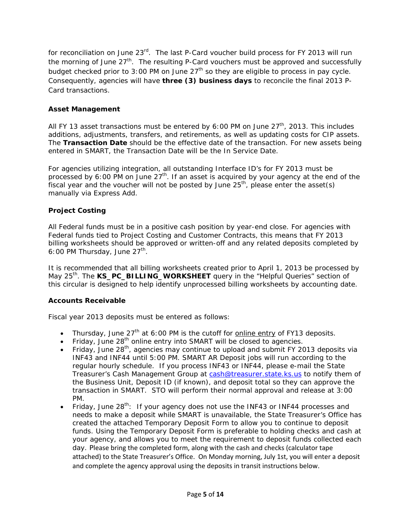for reconciliation on June 23<sup>rd</sup>. The last P-Card voucher build process for FY 2013 will run the morning of June  $27<sup>th</sup>$ . The resulting P-Card vouchers must be approved and successfully budget checked prior to 3:00 PM on June  $27<sup>th</sup>$  so they are eligible to process in pay cycle. Consequently, agencies will have **three (3) business days** to reconcile the final 2013 P-Card transactions.

# **Asset Management**

All FY 13 asset transactions must be entered by 6:00 PM on June  $27<sup>th</sup>$ , 2013. This includes additions, adjustments, transfers, and retirements, as well as updating costs for CIP assets. The **Transaction Date** should be the effective date of the transaction. For new assets being entered in SMART, the Transaction Date will be the In Service Date.

For agencies utilizing integration, all outstanding Interface ID's for FY 2013 must be processed by 6:00 PM on June  $27<sup>th</sup>$ . If an asset is acquired by your agency at the end of the fiscal year and the voucher will not be posted by June  $25<sup>th</sup>$ , please enter the asset(s) manually via Express Add.

# **Project Costing**

All Federal funds must be in a positive cash position by year-end close. For agencies with Federal funds tied to Project Costing and Customer Contracts, this means that FY 2013 billing worksheets should be approved or written-off and any related deposits completed by 6:00 PM Thursday, June  $27<sup>th</sup>$ .

It is recommended that all billing worksheets created prior to April 1, 2013 be processed by May 25<sup>th</sup>. The **KS\_PC\_BILLING\_WORKSHEET** query in the "Helpful Queries" section of this circular is designed to help identify unprocessed billing worksheets by accounting date.

# **Accounts Receivable**

Fiscal year 2013 deposits must be entered as follows:

- Thursday, June  $27<sup>th</sup>$  at 6:00 PM is the cutoff for online entry of FY13 deposits.
- Friday, June  $28<sup>th</sup>$  online entry into SMART will be closed to agencies.
- Friday, June 28<sup>th</sup>, agencies may continue to upload and submit FY 2013 deposits via INF43 and INF44 until 5:00 PM. SMART AR Deposit jobs will run according to the regular hourly schedule. If you process INF43 or INF44, please e-mail the State Treasurer's Cash Management Group at [cash@treasurer.state.ks.us](mailto:cash@treasurer.state.ks.us) to notify them of the Business Unit, Deposit ID (if known), and deposit total so they can approve the transaction in SMART. STO will perform their normal approval and release at 3:00 PM.
- Friday, June  $28^{th}$ : If your agency does not use the INF43 or INF44 processes and needs to make a deposit while SMART is unavailable, the State Treasurer's Office has created the attached Temporary Deposit Form to allow you to continue to deposit funds. Using the Temporary Deposit Form is preferable to holding checks and cash at your agency, and allows you to meet the requirement to deposit funds collected each day. Please bring the completed form, along with the cash and checks (calculator tape attached) to the State Treasurer's Office. On Monday morning, July 1st, you will enter a deposit and complete the agency approval using the deposits in transit instructions below.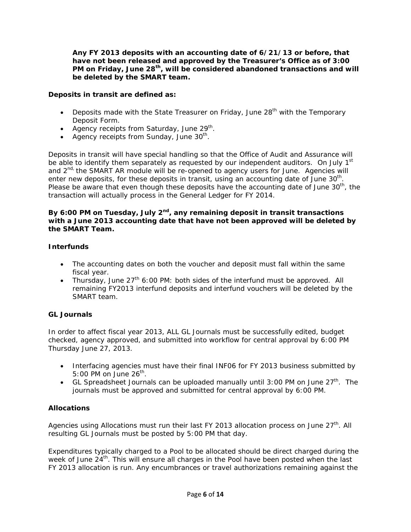**Any FY 2013 deposits with an accounting date of 6/21/13 or before, that have not been released and approved by the Treasurer's Office as of 3:00 PM on Friday, June 28th, will be considered abandoned transactions and will be deleted by the SMART team.** 

### **Deposits in transit are defined as:**

- Deposits made with the State Treasurer on Friday, June  $28<sup>th</sup>$  with the Temporary Deposit Form.
- Agency receipts from Saturday, June  $29<sup>th</sup>$ .
- Agency receipts from Sunday, June  $30<sup>th</sup>$ .

Deposits in transit will have special handling so that the Office of Audit and Assurance will be able to identify them separately as requested by our independent auditors. On July  $1<sup>st</sup>$ and 2<sup>nd,</sup> the SMART AR module will be re-opened to agency users for June. Agencies will enter new deposits, for these deposits in transit, using an accounting date of June 30<sup>th</sup>. Please be aware that even though these deposits have the accounting date of June  $30<sup>th</sup>$ , the transaction will actually process in the General Ledger for FY 2014.

### By 6:00 PM on Tuesday, July 2<sup>nd</sup>, any remaining deposit in transit transactions **with a June 2013 accounting date that have not been approved will be deleted by the SMART Team.**

#### **Interfunds**

- The accounting dates on both the voucher and deposit must fall within the same fiscal year.
- Thursday, June  $27<sup>th</sup>$  6:00 PM: both sides of the interfund must be approved. All remaining FY2013 interfund deposits and interfund vouchers will be deleted by the SMART team.

# **GL Journals**

In order to affect fiscal year 2013, ALL GL Journals must be successfully edited, budget checked, agency approved, and submitted into workflow for central approval by 6:00 PM Thursday June 27, 2013.

- Interfacing agencies must have their final INF06 for FY 2013 business submitted by 5:00 PM on June  $26<sup>th</sup>$ .
- GL Spreadsheet Journals can be uploaded manually until 3:00 PM on June  $27<sup>th</sup>$ . The journals must be approved and submitted for central approval by 6:00 PM.

# **Allocations**

Agencies using Allocations must run their last FY 2013 allocation process on June 27<sup>th</sup>. All resulting GL Journals must be posted by 5:00 PM that day.

Expenditures typically charged to a Pool to be allocated should be direct charged during the week of June 24<sup>th</sup>. This will ensure all charges in the Pool have been posted when the last FY 2013 allocation is run. Any encumbrances or travel authorizations remaining against the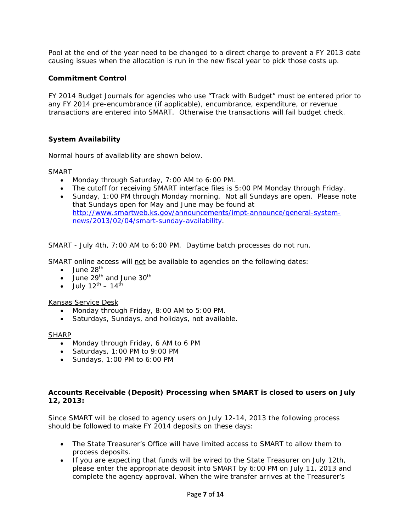Pool at the end of the year need to be changed to a direct charge to prevent a FY 2013 date causing issues when the allocation is run in the new fiscal year to pick those costs up.

### **Commitment Control**

FY 2014 Budget Journals for agencies who use "Track with Budget" must be entered prior to any FY 2014 pre-encumbrance (if applicable), encumbrance, expenditure, or revenue transactions are entered into SMART. Otherwise the transactions will fail budget check.

### **System Availability**

Normal hours of availability are shown below.

SMART

- Monday through Saturday, 7:00 AM to 6:00 PM.
- The cutoff for receiving SMART interface files is 5:00 PM Monday through Friday.
- Sunday, 1:00 PM through Monday morning. Not all Sundays are open. Please note that Sundays open for May and June may be found at [http://www.smartweb.ks.gov/announcements/impt-announce/general-system](http://www.smartweb.ks.gov/announcements/impt-announce/general-system-news/2013/02/04/smart-sunday-availability)[news/2013/02/04/smart-sunday-availability.](http://www.smartweb.ks.gov/announcements/impt-announce/general-system-news/2013/02/04/smart-sunday-availability)

SMART - July 4th, 7:00 AM to 6:00 PM. Daytime batch processes do not run.

SMART online access will not be available to agencies on the following dates:

- $\bullet$  June 28<sup>th</sup>
- June 29<sup>th</sup> and June  $30<sup>th</sup>$
- July  $12^{th} 14^{th}$

#### Kansas Service Desk

- Monday through Friday, 8:00 AM to 5:00 PM.
- Saturdays, Sundays, and holidays, not available.

#### **SHARP**

- Monday through Friday, 6 AM to 6 PM
- Saturdays, 1:00 PM to 9:00 PM
- Sundays, 1:00 PM to 6:00 PM

#### **Accounts Receivable (Deposit) Processing when SMART is closed to users on July 12, 2013:**

Since SMART will be closed to agency users on July 12-14, 2013 the following process should be followed to make FY 2014 deposits on these days:

- The State Treasurer's Office will have limited access to SMART to allow them to process deposits.
- If you are expecting that funds will be wired to the State Treasurer on July 12th, please enter the appropriate deposit into SMART by 6:00 PM on July 11, 2013 and complete the agency approval. When the wire transfer arrives at the Treasurer's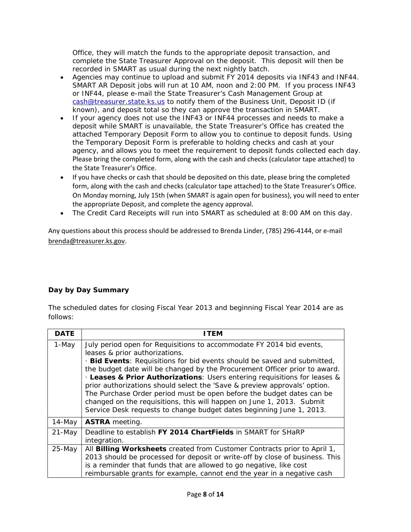Office, they will match the funds to the appropriate deposit transaction, and complete the State Treasurer Approval on the deposit. This deposit will then be recorded in SMART as usual during the next nightly batch.

- Agencies may continue to upload and submit FY 2014 deposits via INF43 and INF44. SMART AR Deposit jobs will run at 10 AM, noon and 2:00 PM. If you process INF43 or INF44, please e-mail the State Treasurer's Cash Management Group at [cash@treasurer.state.ks.us](mailto:cash@treasurer.state.ks.us) to notify them of the Business Unit, Deposit ID (if known), and deposit total so they can approve the transaction in SMART.
- If your agency does not use the INF43 or INF44 processes and needs to make a deposit while SMART is unavailable, the State Treasurer's Office has created the attached Temporary Deposit Form to allow you to continue to deposit funds. Using the Temporary Deposit Form is preferable to holding checks and cash at your agency, and allows you to meet the requirement to deposit funds collected each day. Please bring the completed form, along with the cash and checks (calculator tape attached) to the State Treasurer's Office.
- If you have checks or cash that should be deposited on this date, please bring the completed form, along with the cash and checks (calculator tape attached) to the State Treasurer's Office. On Monday morning, July 15th (when SMART is again open for business), you will need to enter the appropriate Deposit, and complete the agency approval.
- The Credit Card Receipts will run into SMART as scheduled at 8:00 AM on this day.

Any questions about this process should be addressed to Brenda Linder, (785) 296‐4144, or e‐mail [brenda@treasurer.ks.gov](mailto:brenda@treasurer.ks.gov).

# **Day by Day Summary**

The scheduled dates for closing Fiscal Year 2013 and beginning Fiscal Year 2014 are as follows:

| <b>DATE</b> | I TFM                                                                                                                                                                                                                                                                                                                                                                                                                                                                                                                                                                                                                                            |
|-------------|--------------------------------------------------------------------------------------------------------------------------------------------------------------------------------------------------------------------------------------------------------------------------------------------------------------------------------------------------------------------------------------------------------------------------------------------------------------------------------------------------------------------------------------------------------------------------------------------------------------------------------------------------|
| 1-May       | July period open for Requisitions to accommodate FY 2014 bid events,<br>leases & prior authorizations.<br>Bid Events: Requisitions for bid events should be saved and submitted,<br>the budget date will be changed by the Procurement Officer prior to award.<br>Leases & Prior Authorizations: Users entering requisitions for leases &<br>prior authorizations should select the 'Save & preview approvals' option.<br>The Purchase Order period must be open before the budget dates can be<br>changed on the requisitions, this will happen on June 1, 2013. Submit<br>Service Desk requests to change budget dates beginning June 1, 2013. |
| 14-May      | <b>ASTRA</b> meeting.                                                                                                                                                                                                                                                                                                                                                                                                                                                                                                                                                                                                                            |
| 21-May      | Deadline to establish FY 2014 ChartFields in SMART for SHaRP<br>integration.                                                                                                                                                                                                                                                                                                                                                                                                                                                                                                                                                                     |
| 25-May      | All Billing Worksheets created from Customer Contracts prior to April 1,<br>2013 should be processed for deposit or write-off by close of business. This<br>is a reminder that funds that are allowed to go negative, like cost<br>reimbursable grants for example, cannot end the year in a negative cash                                                                                                                                                                                                                                                                                                                                       |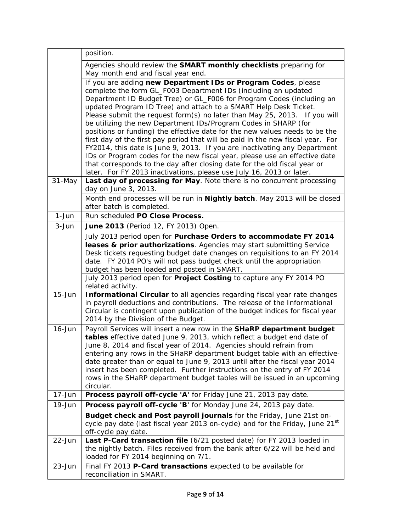| Agencies should review the SMART monthly checklists preparing for<br>May month end and fiscal year end.<br>If you are adding new Department IDs or Program Codes, please<br>complete the form GL_F003 Department IDs (including an updated |
|--------------------------------------------------------------------------------------------------------------------------------------------------------------------------------------------------------------------------------------------|
|                                                                                                                                                                                                                                            |
|                                                                                                                                                                                                                                            |
|                                                                                                                                                                                                                                            |
| Department ID Budget Tree) or GL_F006 for Program Codes (including an                                                                                                                                                                      |
| updated Program ID Tree) and attach to a SMART Help Desk Ticket.                                                                                                                                                                           |
| Please submit the request form(s) no later than May 25, 2013. If you will                                                                                                                                                                  |
| be utilizing the new Department IDs/Program Codes in SHARP (for                                                                                                                                                                            |
| positions or funding) the effective date for the new values needs to be the                                                                                                                                                                |
| first day of the first pay period that will be paid in the new fiscal year. For                                                                                                                                                            |
| FY2014, this date is June 9, 2013. If you are inactivating any Department<br>IDs or Program codes for the new fiscal year, please use an effective date                                                                                    |
| that corresponds to the day after closing date for the old fiscal year or                                                                                                                                                                  |
| later. For FY 2013 inactivations, please use July 16, 2013 or later.                                                                                                                                                                       |
| 31-May<br>Last day of processing for May. Note there is no concurrent processing                                                                                                                                                           |
| day on June 3, 2013.                                                                                                                                                                                                                       |
| Month end processes will be run in Nightly batch. May 2013 will be closed                                                                                                                                                                  |
| after batch is completed.<br>1-Jun<br>Run scheduled PO Close Process.                                                                                                                                                                      |
| $3 - Jun$<br>June 2013 (Period 12, FY 2013) Open.                                                                                                                                                                                          |
| July 2013 period open for Purchase Orders to accommodate FY 2014                                                                                                                                                                           |
| leases & prior authorizations. Agencies may start submitting Service                                                                                                                                                                       |
| Desk tickets requesting budget date changes on requisitions to an FY 2014                                                                                                                                                                  |
| date. FY 2014 PO's will not pass budget check until the appropriation                                                                                                                                                                      |
| budget has been loaded and posted in SMART.                                                                                                                                                                                                |
| July 2013 period open for Project Costing to capture any FY 2014 PO<br>related activity.                                                                                                                                                   |
| $15 - Jun$<br>Informational Circular to all agencies regarding fiscal year rate changes                                                                                                                                                    |
| in payroll deductions and contributions. The release of the Informational                                                                                                                                                                  |
| Circular is contingent upon publication of the budget indices for fiscal year                                                                                                                                                              |
| 2014 by the Division of the Budget.                                                                                                                                                                                                        |
| Payroll Services will insert a new row in the SHaRP department budget<br>$16 - Jun$<br>tables effective dated June 9, 2013, which reflect a budget end date of                                                                             |
| June 8, 2014 and fiscal year of 2014. Agencies should refrain from                                                                                                                                                                         |
| entering any rows in the SHaRP department budget table with an effective-                                                                                                                                                                  |
| date greater than or equal to June 9, 2013 until after the fiscal year 2014                                                                                                                                                                |
| insert has been completed. Further instructions on the entry of FY 2014                                                                                                                                                                    |
| rows in the SHaRP department budget tables will be issued in an upcoming<br>circular.                                                                                                                                                      |
| $17 - Jun$<br>Process payroll off-cycle 'A' for Friday June 21, 2013 pay date.                                                                                                                                                             |
| 19-Jun<br>Process payroll off-cycle 'B' for Monday June 24, 2013 pay date.                                                                                                                                                                 |
| Budget check and Post payroll journals for the Friday, June 21st on-                                                                                                                                                                       |
| cycle pay date (last fiscal year 2013 on-cycle) and for the Friday, June 21st                                                                                                                                                              |
| off-cycle pay date.                                                                                                                                                                                                                        |
| Last P-Card transaction file (6/21 posted date) for FY 2013 loaded in<br>22-Jun                                                                                                                                                            |
| the nightly batch. Files received from the bank after 6/22 will be held and                                                                                                                                                                |
| loaded for FY 2014 beginning on 7/1.                                                                                                                                                                                                       |
| Final FY 2013 P-Card transactions expected to be available for<br>23-Jun<br>reconciliation in SMART.                                                                                                                                       |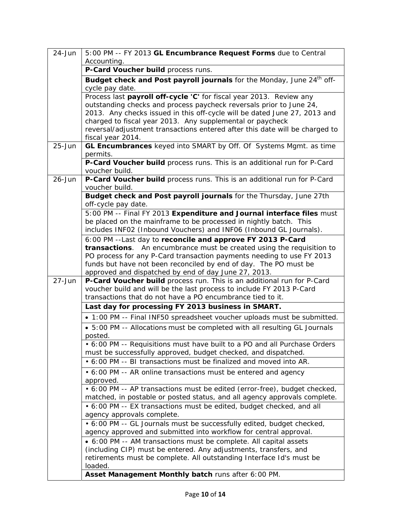| 24-Jun     | 5:00 PM -- FY 2013 GL Encumbrance Request Forms due to Central<br>Accounting.                                                              |
|------------|--------------------------------------------------------------------------------------------------------------------------------------------|
|            | P-Card Voucher build process runs.                                                                                                         |
|            | Budget check and Post payroll journals for the Monday, June 24 <sup>th</sup> off-                                                          |
|            | cycle pay date.                                                                                                                            |
|            | Process last payroll off-cycle 'C' for fiscal year 2013. Review any                                                                        |
|            | outstanding checks and process paycheck reversals prior to June 24,                                                                        |
|            | 2013. Any checks issued in this off-cycle will be dated June 27, 2013 and                                                                  |
|            | charged to fiscal year 2013. Any supplemental or paycheck                                                                                  |
|            | reversal/adjustment transactions entered after this date will be charged to                                                                |
|            | fiscal year 2014.                                                                                                                          |
| $25 - Jun$ | GL Encumbrances keyed into SMART by Off. Of Systems Mgmt. as time<br>permits.                                                              |
|            | P-Card Voucher build process runs. This is an additional run for P-Card                                                                    |
|            | voucher build.                                                                                                                             |
| $26 - Jun$ | P-Card Voucher build process runs. This is an additional run for P-Card<br>voucher build.                                                  |
|            | Budget check and Post payroll journals for the Thursday, June 27th<br>off-cycle pay date.                                                  |
|            | 5:00 PM -- Final FY 2013 Expenditure and Journal interface files must                                                                      |
|            | be placed on the mainframe to be processed in nightly batch. This                                                                          |
|            | includes INF02 (Inbound Vouchers) and INF06 (Inbound GL Journals).                                                                         |
|            | 6:00 PM -- Last day to reconcile and approve FY 2013 P-Card                                                                                |
|            | transactions. An encumbrance must be created using the requisition to                                                                      |
|            | PO process for any P-Card transaction payments needing to use FY 2013                                                                      |
|            | funds but have not been reconciled by end of day. The PO must be<br>approved and dispatched by end of day June 27, 2013.                   |
| $27 - Jun$ | P-Card Voucher build process run. This is an additional run for P-Card                                                                     |
|            | voucher build and will be the last process to include FY 2013 P-Card                                                                       |
|            | transactions that do not have a PO encumbrance tied to it.                                                                                 |
|            | Last day for processing FY 2013 business in SMART.                                                                                         |
|            | . 1:00 PM -- Final INF50 spreadsheet voucher uploads must be submitted.                                                                    |
|            | • 5:00 PM -- Allocations must be completed with all resulting GL Journals<br>posted.                                                       |
|            | • 6:00 PM -- Requisitions must have built to a PO and all Purchase Orders                                                                  |
|            | must be successfully approved, budget checked, and dispatched.                                                                             |
|            | • 6:00 PM -- BI transactions must be finalized and moved into AR.                                                                          |
|            | • 6:00 PM -- AR online transactions must be entered and agency                                                                             |
|            | approved.                                                                                                                                  |
|            | • 6:00 PM -- AP transactions must be edited (error-free), budget checked,                                                                  |
|            | matched, in postable or posted status, and all agency approvals complete.                                                                  |
|            | • 6:00 PM -- EX transactions must be edited, budget checked, and all                                                                       |
|            | agency approvals complete.                                                                                                                 |
|            | • 6:00 PM -- GL Journals must be successfully edited, budget checked,<br>agency approved and submitted into workflow for central approval. |
|            | • 6:00 PM -- AM transactions must be complete. All capital assets                                                                          |
|            | (including CIP) must be entered. Any adjustments, transfers, and                                                                           |
|            | retirements must be complete. All outstanding Interface Id's must be                                                                       |
|            | loaded.                                                                                                                                    |
|            | Asset Management Monthly batch runs after 6:00 PM.                                                                                         |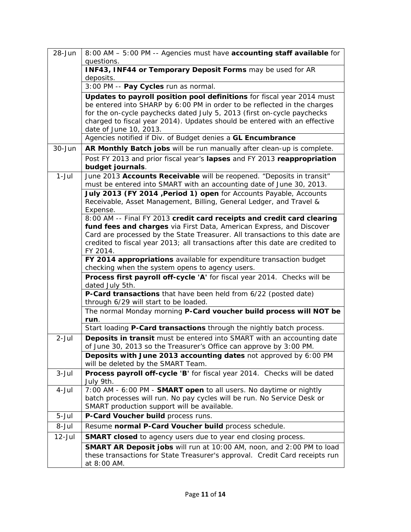| $28 - Jun$ | 8:00 AM - 5:00 PM -- Agencies must have accounting staff available for<br>questions.                                                                                                                                                                                                                                                 |
|------------|--------------------------------------------------------------------------------------------------------------------------------------------------------------------------------------------------------------------------------------------------------------------------------------------------------------------------------------|
|            | INF43, INF44 or Temporary Deposit Forms may be used for AR<br>deposits.                                                                                                                                                                                                                                                              |
|            | 3:00 PM -- Pay Cycles run as normal.                                                                                                                                                                                                                                                                                                 |
|            | Updates to payroll position pool definitions for fiscal year 2014 must<br>be entered into SHARP by 6:00 PM in order to be reflected in the charges<br>for the on-cycle paychecks dated July 5, 2013 (first on-cycle paychecks<br>charged to fiscal year 2014). Updates should be entered with an effective<br>date of June 10, 2013. |
|            | Agencies notified if Div. of Budget denies a GL Encumbrance                                                                                                                                                                                                                                                                          |
| 30-Jun     | AR Monthly Batch jobs will be run manually after clean-up is complete.                                                                                                                                                                                                                                                               |
|            | Post FY 2013 and prior fiscal year's lapses and FY 2013 reappropriation<br>budget journals.                                                                                                                                                                                                                                          |
| $1-Jul$    | June 2013 Accounts Receivable will be reopened. "Deposits in transit"<br>must be entered into SMART with an accounting date of June 30, 2013.                                                                                                                                                                                        |
|            | July 2013 (FY 2014 , Period 1) open for Accounts Payable, Accounts<br>Receivable, Asset Management, Billing, General Ledger, and Travel &<br>Expense.                                                                                                                                                                                |
|            | 8:00 AM -- Final FY 2013 credit card receipts and credit card clearing                                                                                                                                                                                                                                                               |
|            | fund fees and charges via First Data, American Express, and Discover<br>Card are processed by the State Treasurer. All transactions to this date are<br>credited to fiscal year 2013; all transactions after this date are credited to<br>FY 2014.                                                                                   |
|            | FY 2014 appropriations available for expenditure transaction budget<br>checking when the system opens to agency users.                                                                                                                                                                                                               |
|            | Process first payroll off-cycle 'A' for fiscal year 2014. Checks will be<br>dated July 5th.                                                                                                                                                                                                                                          |
|            | P-Card transactions that have been held from 6/22 (posted date)<br>through 6/29 will start to be loaded.                                                                                                                                                                                                                             |
|            | The normal Monday morning P-Card voucher build process will NOT be<br>run.                                                                                                                                                                                                                                                           |
|            | Start loading P-Card transactions through the nightly batch process.                                                                                                                                                                                                                                                                 |
| $2$ -Jul   | Deposits in transit must be entered into SMART with an accounting date<br>of June 30, 2013 so the Treasurer's Office can approve by 3:00 PM.                                                                                                                                                                                         |
|            | Deposits with June 2013 accounting dates not approved by 6:00 PM<br>will be deleted by the SMART Team.                                                                                                                                                                                                                               |
| $3 - Jul$  | Process payroll off-cycle 'B' for fiscal year 2014. Checks will be dated<br>July 9th.                                                                                                                                                                                                                                                |
| 4-Jul      | 7:00 AM - 6:00 PM - SMART open to all users. No daytime or nightly<br>batch processes will run. No pay cycles will be run. No Service Desk or<br>SMART production support will be available.                                                                                                                                         |
| $5 -$ Jul  | P-Card Voucher build process runs.                                                                                                                                                                                                                                                                                                   |
| 8-Jul      | Resume normal P-Card Voucher build process schedule.                                                                                                                                                                                                                                                                                 |
| $12$ -Jul  | <b>SMART closed</b> to agency users due to year end closing process.                                                                                                                                                                                                                                                                 |
|            | SMART AR Deposit jobs will run at 10:00 AM, noon, and 2:00 PM to load<br>these transactions for State Treasurer's approval. Credit Card receipts run<br>at 8:00 AM.                                                                                                                                                                  |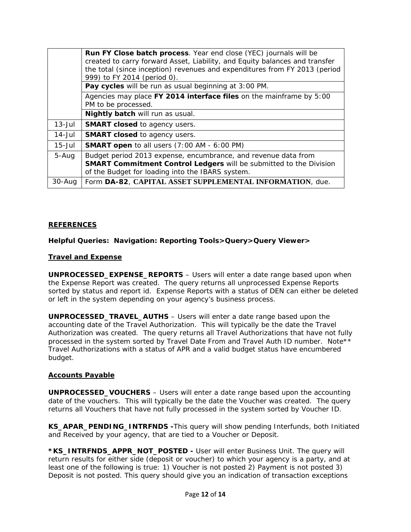|            | <b>Run FY Close batch process</b> . Year end close (YEC) journals will be<br>created to carry forward Asset, Liability, and Equity balances and transfer<br>the total (since inception) revenues and expenditures from FY 2013 (period<br>999) to FY 2014 (period 0). |
|------------|-----------------------------------------------------------------------------------------------------------------------------------------------------------------------------------------------------------------------------------------------------------------------|
|            | Pay cycles will be run as usual beginning at 3:00 PM.                                                                                                                                                                                                                 |
|            | Agencies may place FY 2014 interface files on the mainframe by 5:00<br>PM to be processed.                                                                                                                                                                            |
|            | Nightly batch will run as usual.                                                                                                                                                                                                                                      |
| $13 -$ Jul | <b>SMART closed to agency users.</b>                                                                                                                                                                                                                                  |
| 14-Jul     | <b>SMART closed to agency users.</b>                                                                                                                                                                                                                                  |
| $15 -$ Jul | <b>SMART open</b> to all users (7:00 AM - 6:00 PM)                                                                                                                                                                                                                    |
| 5-Aug      | Budget period 2013 expense, encumbrance, and revenue data from<br>SMART Commitment Control Ledgers will be submitted to the Division<br>of the Budget for loading into the IBARS system.                                                                              |
| $30 - Aug$ | Form DA-82, CAPITAL ASSET SUPPLEMENTAL INFORMATION, due.                                                                                                                                                                                                              |

### **REFERENCES**

**Helpful Queries: Navigation: Reporting Tools>Query>Query Viewer>** 

#### **Travel and Expense**

**UNPROCESSED\_EXPENSE\_REPORTS** – Users will enter a date range based upon when the Expense Report was created. The query returns all unprocessed Expense Reports sorted by status and report id. Expense Reports with a status of DEN can either be deleted or left in the system depending on your agency's business process.

**UNPROCESSED\_TRAVEL\_AUTHS** – Users will enter a date range based upon the accounting date of the Travel Authorization. This will typically be the date the Travel Authorization was created. The query returns all Travel Authorizations that have not fully processed in the system sorted by Travel Date From and Travel Auth ID number. Note\*\* Travel Authorizations with a status of APR and a valid budget status have encumbered budget.

#### **Accounts Payable**

**UNPROCESSED\_VOUCHERS** – Users will enter a date range based upon the accounting date of the vouchers. This will typically be the date the Voucher was created. The query returns all Vouchers that have not fully processed in the system sorted by Voucher ID.

**KS\_APAR\_PENDING\_INTRFNDS -**This query will show pending Interfunds, both Initiated and Received by your agency, that are tied to a Voucher or Deposit.

**\*KS\_INTRFNDS\_APPR\_NOT\_POSTED -** User will enter Business Unit. The query will return results for either side (deposit or voucher) to which your agency is a party, and at least one of the following is true: 1) Voucher is not posted 2) Payment is not posted 3) Deposit is not posted. This query should give you an indication of transaction exceptions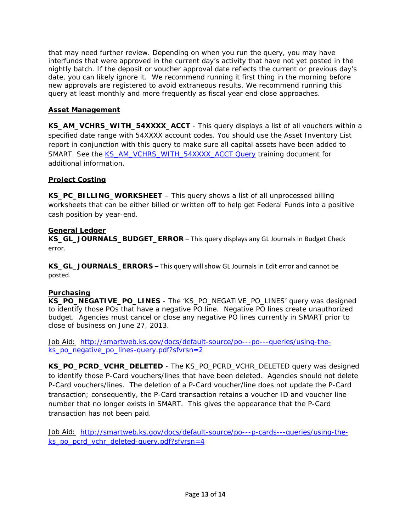that may need further review. Depending on when you run the query, you may have interfunds that were approved in the current day's activity that have not yet posted in the nightly batch. If the deposit or voucher approval date reflects the current or previous day's date, you can likely ignore it. We recommend running it first thing in the morning before new approvals are registered to avoid extraneous results. We recommend running this query at least monthly and more frequently as fiscal year end close approaches.

# **Asset Management**

**KS\_AM\_VCHRS\_WITH\_54XXXX\_ACCT** - This query displays a list of all vouchers within a specified date range with 54XXXX account codes. You should use the Asset Inventory List report in conjunction with this query to make sure all capital assets have been added to SMART. See the [KS\\_AM\\_VCHRS\\_WITH\\_54XXXX\\_ACCT Query](http://smartweb.ks.gov/training/asset-management/am-queries) training document for additional information.

# **Project Costing**

**KS\_PC\_BILLING\_WORKSHEET** – This query shows a list of all unprocessed billing worksheets that can be either billed or written off to help get Federal Funds into a positive cash position by year-end.

# **General Ledger**

**KS\_GL\_JOURNALS\_BUDGET\_ERROR –** This query displays any GL Journals in Budget Check error.

**KS\_GL\_JOURNALS\_ERRORS –** This query will show GL Journals in Edit error and cannot be posted.

# **Purchasing**

**KS\_PO\_NEGATIVE\_PO\_LINES** - The 'KS\_PO\_NEGATIVE\_PO\_LINES' query was designed to identify those POs that have a negative PO line. Negative PO lines create unauthorized budget. Agencies must cancel or close any negative PO lines currently in SMART prior to close of business on June 27, 2013.

Job Aid: [http://smartweb.ks.gov/docs/default-source/po---po---queries/using-the](http://smartweb.ks.gov/docs/default-source/po---po---queries/using-the-ks_po_negative_po_lines-query.pdf?sfvrsn=2)[ks\\_po\\_negative\\_po\\_lines-query.pdf?sfvrsn=2](http://smartweb.ks.gov/docs/default-source/po---po---queries/using-the-ks_po_negative_po_lines-query.pdf?sfvrsn=2) 

**KS\_PO\_PCRD\_VCHR\_DELETED** - The KS\_PO\_PCRD\_VCHR\_DELETED query was designed to identify those P-Card vouchers/lines that have been deleted. Agencies should not delete P-Card vouchers/lines. The deletion of a P-Card voucher/line does not update the P-Card transaction; consequently, the P-Card transaction retains a voucher ID and voucher line number that no longer exists in SMART. This gives the appearance that the P-Card transaction has not been paid.

Job Aid: [http://smartweb.ks.gov/docs/default-source/po---p-cards---queries/using-the](http://smartweb.ks.gov/docs/default-source/po---p-cards---queries/using-the-ks_po_pcrd_vchr_deleted-query.pdf?sfvrsn=4)[ks\\_po\\_pcrd\\_vchr\\_deleted-query.pdf?sfvrsn=4](http://smartweb.ks.gov/docs/default-source/po---p-cards---queries/using-the-ks_po_pcrd_vchr_deleted-query.pdf?sfvrsn=4)